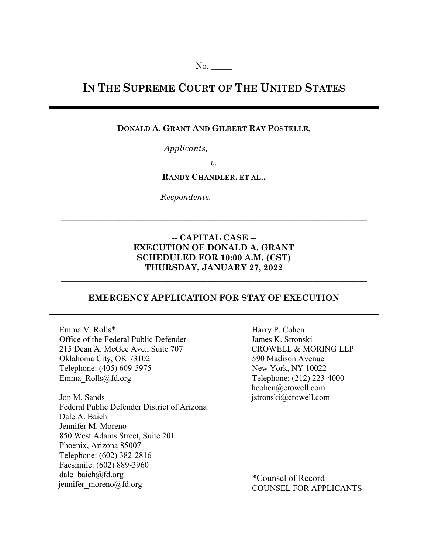# **IN THE SUPREME COURT OF THE UNITED STATES**

## **DONALD A. GRANT AND GILBERT RAY POSTELLE,**

*Applicants,*

*v.* 

**RANDY CHANDLER, ET AL.,** 

*Respondents.*

## **-- CAPITAL CASE -- EXECUTION OF DONALD A. GRANT SCHEDULED FOR 10:00 A.M. (CST) THURSDAY, JANUARY 27, 2022**

**\_\_\_\_\_\_\_\_\_\_\_\_\_\_\_\_\_\_\_\_\_\_\_\_\_\_\_\_\_\_\_\_\_\_\_\_\_\_\_\_\_\_\_\_\_\_\_\_\_\_\_\_\_\_\_\_\_\_\_\_\_\_\_\_\_\_\_\_\_\_\_\_\_** 

## **EMERGENCY APPLICATION FOR STAY OF EXECUTION**

**\_\_\_\_\_\_\_\_\_\_\_\_\_\_\_\_\_\_\_\_\_\_\_\_\_\_\_\_\_\_\_\_\_\_\_\_\_\_\_\_\_\_\_\_\_\_\_\_\_\_\_\_\_\_\_\_\_\_\_\_\_\_\_\_\_\_\_\_\_\_\_\_\_** 

Emma V. Rolls\* Office of the Federal Public Defender 215 Dean A. McGee Ave., Suite 707 Oklahoma City, OK 73102 Telephone: (405) 609-5975 Emma\_Rolls@fd.org

Jon M. Sands Federal Public Defender District of Arizona Dale A. Baich Jennifer M. Moreno 850 West Adams Street, Suite 201 Phoenix, Arizona 85007 Telephone: (602) 382-2816 Facsimile: (602) 889-3960 dale\_baich@fd.org jennifer moreno@fd.org

Harry P. Cohen James K. Stronski CROWELL & MORING LLP 590 Madison Avenue New York, NY 10022 Telephone: (212) 223-4000 hcohen@crowell.com jstronski@crowell.com

\*Counsel of Record COUNSEL FOR APPLICANTS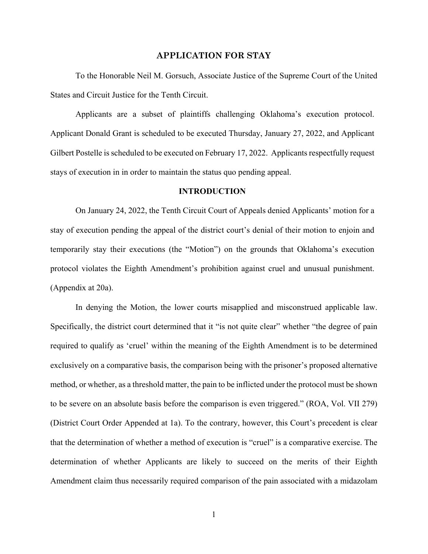#### **APPLICATION FOR STAY**

To the Honorable Neil M. Gorsuch, Associate Justice of the Supreme Court of the United States and Circuit Justice for the Tenth Circuit.

Applicants are a subset of plaintiffs challenging Oklahoma's execution protocol. Applicant Donald Grant is scheduled to be executed Thursday, January 27, 2022, and Applicant Gilbert Postelle is scheduled to be executed on February 17, 2022. Applicants respectfully request stays of execution in in order to maintain the status quo pending appeal.

#### **INTRODUCTION**

 On January 24, 2022, the Tenth Circuit Court of Appeals denied Applicants' motion for a stay of execution pending the appeal of the district court's denial of their motion to enjoin and temporarily stay their executions (the "Motion") on the grounds that Oklahoma's execution protocol violates the Eighth Amendment's prohibition against cruel and unusual punishment. (Appendix at 20a).

In denying the Motion, the lower courts misapplied and misconstrued applicable law. Specifically, the district court determined that it "is not quite clear" whether "the degree of pain required to qualify as 'cruel' within the meaning of the Eighth Amendment is to be determined exclusively on a comparative basis, the comparison being with the prisoner's proposed alternative method, or whether, as a threshold matter, the pain to be inflicted under the protocol must be shown to be severe on an absolute basis before the comparison is even triggered." (ROA, Vol. VII 279) (District Court Order Appended at 1a). To the contrary, however, this Court's precedent is clear that the determination of whether a method of execution is "cruel" is a comparative exercise. The determination of whether Applicants are likely to succeed on the merits of their Eighth Amendment claim thus necessarily required comparison of the pain associated with a midazolam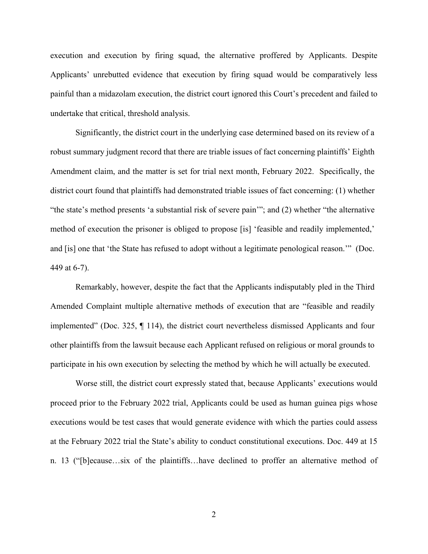execution and execution by firing squad, the alternative proffered by Applicants. Despite Applicants' unrebutted evidence that execution by firing squad would be comparatively less painful than a midazolam execution, the district court ignored this Court's precedent and failed to undertake that critical, threshold analysis.

Significantly, the district court in the underlying case determined based on its review of a robust summary judgment record that there are triable issues of fact concerning plaintiffs' Eighth Amendment claim, and the matter is set for trial next month, February 2022. Specifically, the district court found that plaintiffs had demonstrated triable issues of fact concerning: (1) whether "the state's method presents 'a substantial risk of severe pain'"; and (2) whether "the alternative method of execution the prisoner is obliged to propose [is] 'feasible and readily implemented,' and [is] one that 'the State has refused to adopt without a legitimate penological reason.'" (Doc. 449 at 6-7).

Remarkably, however, despite the fact that the Applicants indisputably pled in the Third Amended Complaint multiple alternative methods of execution that are "feasible and readily implemented" (Doc. 325, ¶ 114), the district court nevertheless dismissed Applicants and four other plaintiffs from the lawsuit because each Applicant refused on religious or moral grounds to participate in his own execution by selecting the method by which he will actually be executed.

Worse still, the district court expressly stated that, because Applicants' executions would proceed prior to the February 2022 trial, Applicants could be used as human guinea pigs whose executions would be test cases that would generate evidence with which the parties could assess at the February 2022 trial the State's ability to conduct constitutional executions. Doc. 449 at 15 n. 13 ("[b]ecause…six of the plaintiffs…have declined to proffer an alternative method of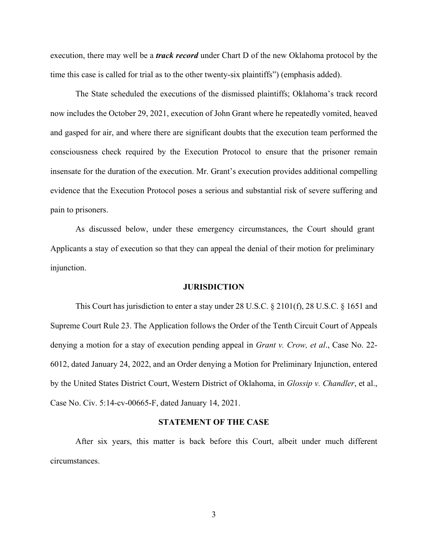execution, there may well be a *track record* under Chart D of the new Oklahoma protocol by the time this case is called for trial as to the other twenty-six plaintiffs") (emphasis added).

The State scheduled the executions of the dismissed plaintiffs; Oklahoma's track record now includes the October 29, 2021, execution of John Grant where he repeatedly vomited, heaved and gasped for air, and where there are significant doubts that the execution team performed the consciousness check required by the Execution Protocol to ensure that the prisoner remain insensate for the duration of the execution. Mr. Grant's execution provides additional compelling evidence that the Execution Protocol poses a serious and substantial risk of severe suffering and pain to prisoners.

As discussed below, under these emergency circumstances, the Court should grant Applicants a stay of execution so that they can appeal the denial of their motion for preliminary injunction.

#### **JURISDICTION**

This Court has jurisdiction to enter a stay under 28 U.S.C. § 2101(f), 28 U.S.C. § 1651 and Supreme Court Rule 23. The Application follows the Order of the Tenth Circuit Court of Appeals denying a motion for a stay of execution pending appeal in *Grant v. Crow, et al*., Case No. 22- 6012, dated January 24, 2022, and an Order denying a Motion for Preliminary Injunction, entered by the United States District Court, Western District of Oklahoma, in *Glossip v. Chandler*, et al., Case No. Civ. 5:14-cv-00665-F, dated January 14, 2021.

#### **STATEMENT OF THE CASE**

After six years, this matter is back before this Court, albeit under much different circumstances.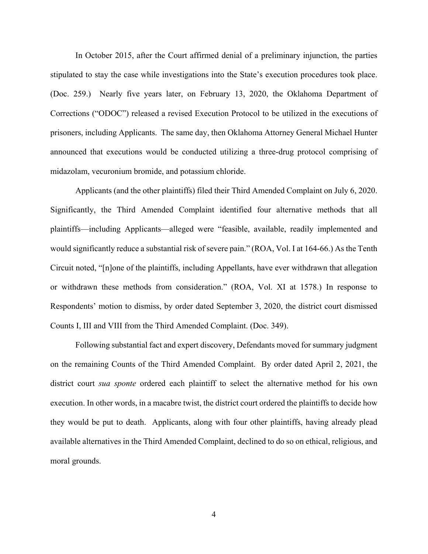In October 2015, after the Court affirmed denial of a preliminary injunction, the parties stipulated to stay the case while investigations into the State's execution procedures took place. (Doc. 259.) Nearly five years later, on February 13, 2020, the Oklahoma Department of Corrections ("ODOC") released a revised Execution Protocol to be utilized in the executions of prisoners, including Applicants. The same day, then Oklahoma Attorney General Michael Hunter announced that executions would be conducted utilizing a three-drug protocol comprising of midazolam, vecuronium bromide, and potassium chloride.

Applicants (and the other plaintiffs) filed their Third Amended Complaint on July 6, 2020. Significantly, the Third Amended Complaint identified four alternative methods that all plaintiffs—including Applicants—alleged were "feasible, available, readily implemented and would significantly reduce a substantial risk of severe pain." (ROA, Vol. I at 164-66.) As the Tenth Circuit noted, "[n]one of the plaintiffs, including Appellants, have ever withdrawn that allegation or withdrawn these methods from consideration." (ROA, Vol. XI at 1578.) In response to Respondents' motion to dismiss, by order dated September 3, 2020, the district court dismissed Counts I, III and VIII from the Third Amended Complaint. (Doc. 349).

Following substantial fact and expert discovery, Defendants moved for summary judgment on the remaining Counts of the Third Amended Complaint. By order dated April 2, 2021, the district court *sua sponte* ordered each plaintiff to select the alternative method for his own execution. In other words, in a macabre twist, the district court ordered the plaintiffs to decide how they would be put to death. Applicants, along with four other plaintiffs, having already plead available alternatives in the Third Amended Complaint, declined to do so on ethical, religious, and moral grounds.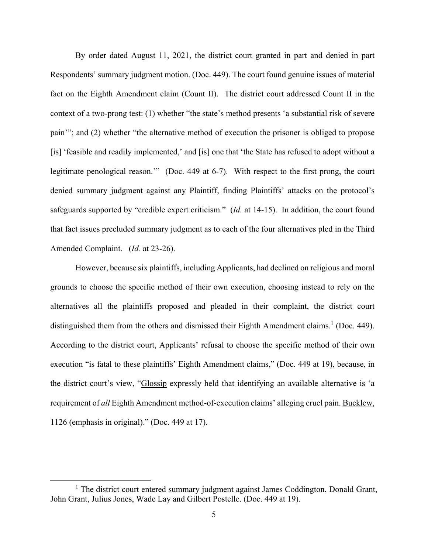By order dated August 11, 2021, the district court granted in part and denied in part Respondents' summary judgment motion. (Doc. 449). The court found genuine issues of material fact on the Eighth Amendment claim (Count II). The district court addressed Count II in the context of a two-prong test: (1) whether "the state's method presents 'a substantial risk of severe pain'"; and (2) whether "the alternative method of execution the prisoner is obliged to propose [is] 'feasible and readily implemented,' and [is] one that 'the State has refused to adopt without a legitimate penological reason."" (Doc. 449 at 6-7). With respect to the first prong, the court denied summary judgment against any Plaintiff, finding Plaintiffs' attacks on the protocol's safeguards supported by "credible expert criticism." (*Id.* at 14-15). In addition, the court found that fact issues precluded summary judgment as to each of the four alternatives pled in the Third Amended Complaint. (*Id.* at 23-26).

However, because six plaintiffs, including Applicants, had declined on religious and moral grounds to choose the specific method of their own execution, choosing instead to rely on the alternatives all the plaintiffs proposed and pleaded in their complaint, the district court distinguished them from the others and dismissed their Eighth Amendment claims.<sup>1</sup> (Doc. 449). According to the district court, Applicants' refusal to choose the specific method of their own execution "is fatal to these plaintiffs' Eighth Amendment claims," (Doc. 449 at 19), because, in the district court's view, "Glossip expressly held that identifying an available alternative is 'a requirement of *all* Eighth Amendment method-of-execution claims' alleging cruel pain. Bucklew, 1126 (emphasis in original)." (Doc. 449 at 17).

 $\overline{1}$ <sup>1</sup> The district court entered summary judgment against James Coddington, Donald Grant, John Grant, Julius Jones, Wade Lay and Gilbert Postelle. (Doc. 449 at 19).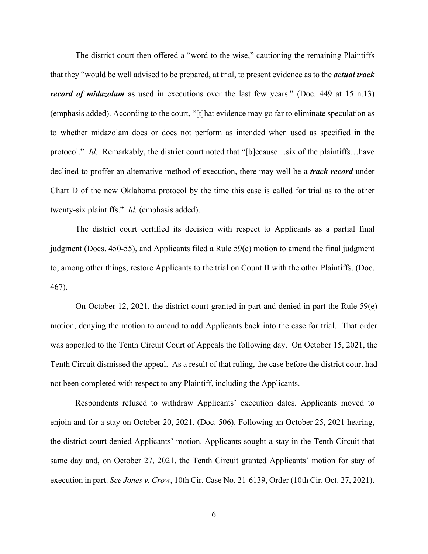The district court then offered a "word to the wise," cautioning the remaining Plaintiffs that they "would be well advised to be prepared, at trial, to present evidence as to the *actual track record of midazolam* as used in executions over the last few years." (Doc. 449 at 15 n.13) (emphasis added). According to the court, "[t]hat evidence may go far to eliminate speculation as to whether midazolam does or does not perform as intended when used as specified in the protocol." *Id.* Remarkably, the district court noted that "[b]ecause…six of the plaintiffs…have declined to proffer an alternative method of execution, there may well be a *track record* under Chart D of the new Oklahoma protocol by the time this case is called for trial as to the other twenty-six plaintiffs." *Id.* (emphasis added).

The district court certified its decision with respect to Applicants as a partial final judgment (Docs. 450-55), and Applicants filed a Rule 59(e) motion to amend the final judgment to, among other things, restore Applicants to the trial on Count II with the other Plaintiffs. (Doc. 467).

On October 12, 2021, the district court granted in part and denied in part the Rule 59(e) motion, denying the motion to amend to add Applicants back into the case for trial. That order was appealed to the Tenth Circuit Court of Appeals the following day. On October 15, 2021, the Tenth Circuit dismissed the appeal. As a result of that ruling, the case before the district court had not been completed with respect to any Plaintiff, including the Applicants.

Respondents refused to withdraw Applicants' execution dates. Applicants moved to enjoin and for a stay on October 20, 2021. (Doc. 506). Following an October 25, 2021 hearing, the district court denied Applicants' motion. Applicants sought a stay in the Tenth Circuit that same day and, on October 27, 2021, the Tenth Circuit granted Applicants' motion for stay of execution in part. *See Jones v. Crow*, 10th Cir. Case No. 21-6139, Order (10th Cir. Oct. 27, 2021).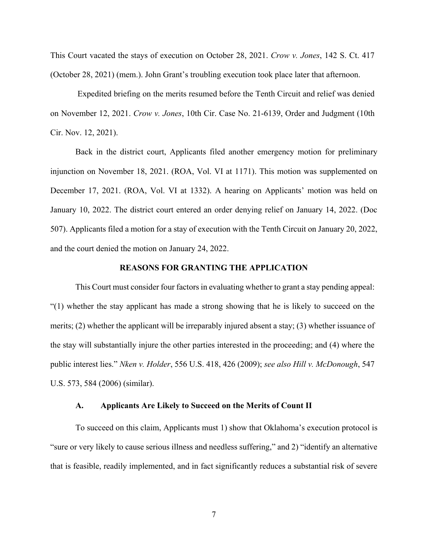This Court vacated the stays of execution on October 28, 2021. *Crow v. Jones*, 142 S. Ct. 417 (October 28, 2021) (mem.). John Grant's troubling execution took place later that afternoon.

 Expedited briefing on the merits resumed before the Tenth Circuit and relief was denied on November 12, 2021. *Crow v. Jones*, 10th Cir. Case No. 21-6139, Order and Judgment (10th Cir. Nov. 12, 2021).

Back in the district court, Applicants filed another emergency motion for preliminary injunction on November 18, 2021. (ROA, Vol. VI at 1171). This motion was supplemented on December 17, 2021. (ROA, Vol. VI at 1332). A hearing on Applicants' motion was held on January 10, 2022. The district court entered an order denying relief on January 14, 2022. (Doc 507). Applicants filed a motion for a stay of execution with the Tenth Circuit on January 20, 2022, and the court denied the motion on January 24, 2022.

#### **REASONS FOR GRANTING THE APPLICATION**

This Court must consider four factors in evaluating whether to grant a stay pending appeal: "(1) whether the stay applicant has made a strong showing that he is likely to succeed on the merits; (2) whether the applicant will be irreparably injured absent a stay; (3) whether issuance of the stay will substantially injure the other parties interested in the proceeding; and (4) where the public interest lies." *Nken v. Holder*, 556 U.S. 418, 426 (2009); *see also Hill v. McDonough*, 547 U.S. 573, 584 (2006) (similar).

#### **A. Applicants Are Likely to Succeed on the Merits of Count II**

To succeed on this claim, Applicants must 1) show that Oklahoma's execution protocol is "sure or very likely to cause serious illness and needless suffering," and 2) "identify an alternative that is feasible, readily implemented, and in fact significantly reduces a substantial risk of severe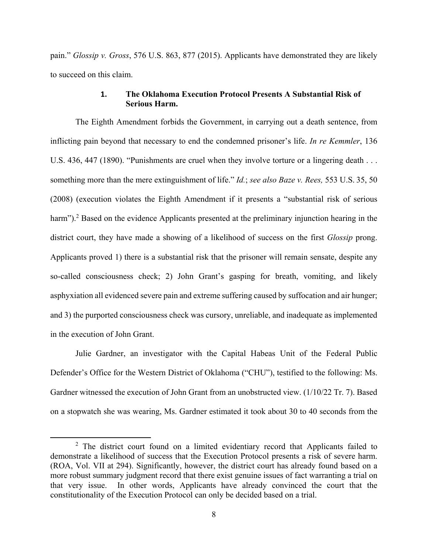pain." *Glossip v. Gross*, 576 U.S. 863, 877 (2015). Applicants have demonstrated they are likely to succeed on this claim.

## **1. The Oklahoma Execution Protocol Presents A Substantial Risk of Serious Harm.**

The Eighth Amendment forbids the Government, in carrying out a death sentence, from inflicting pain beyond that necessary to end the condemned prisoner's life. *In re Kemmler*, 136 U.S. 436, 447 (1890). "Punishments are cruel when they involve torture or a lingering death . . . something more than the mere extinguishment of life." *Id.*; *see also Baze v. Rees,* 553 U.S. 35, 50 (2008) (execution violates the Eighth Amendment if it presents a "substantial risk of serious harm").<sup>2</sup> Based on the evidence Applicants presented at the preliminary injunction hearing in the district court, they have made a showing of a likelihood of success on the first *Glossip* prong. Applicants proved 1) there is a substantial risk that the prisoner will remain sensate, despite any so-called consciousness check; 2) John Grant's gasping for breath, vomiting, and likely asphyxiation all evidenced severe pain and extreme suffering caused by suffocation and air hunger; and 3) the purported consciousness check was cursory, unreliable, and inadequate as implemented in the execution of John Grant.

Julie Gardner, an investigator with the Capital Habeas Unit of the Federal Public Defender's Office for the Western District of Oklahoma ("CHU"), testified to the following: Ms. Gardner witnessed the execution of John Grant from an unobstructed view. (1/10/22 Tr. 7). Based on a stopwatch she was wearing, Ms. Gardner estimated it took about 30 to 40 seconds from the

 $\overline{\phantom{a}}$  2 <sup>2</sup> The district court found on a limited evidentiary record that Applicants failed to demonstrate a likelihood of success that the Execution Protocol presents a risk of severe harm. (ROA, Vol. VII at 294). Significantly, however, the district court has already found based on a more robust summary judgment record that there exist genuine issues of fact warranting a trial on that very issue. In other words, Applicants have already convinced the court that the constitutionality of the Execution Protocol can only be decided based on a trial.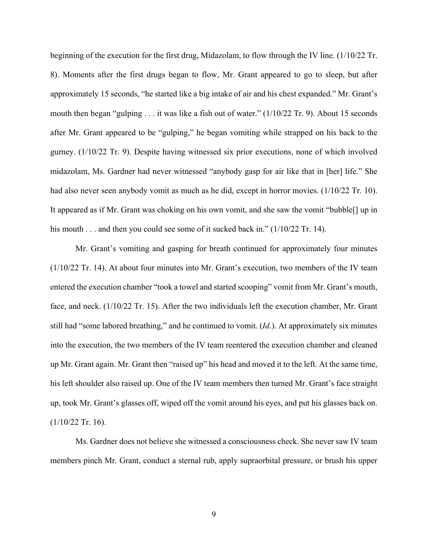beginning of the execution for the first drug, Midazolam, to flow through the IV line. (1/10/22 Tr. 8). Moments after the first drugs began to flow, Mr. Grant appeared to go to sleep, but after approximately 15 seconds, "he started like a big intake of air and his chest expanded." Mr. Grant's mouth then began "gulping . . . it was like a fish out of water." (1/10/22 Tr. 9). About 15 seconds after Mr. Grant appeared to be "gulping," he began vomiting while strapped on his back to the gurney. (1/10/22 Tr. 9). Despite having witnessed six prior executions, none of which involved midazolam, Ms. Gardner had never witnessed "anybody gasp for air like that in [her] life." She had also never seen anybody vomit as much as he did, except in horror movies. (1/10/22 Tr. 10). It appeared as if Mr. Grant was choking on his own vomit, and she saw the vomit "bubble[] up in his mouth . . . and then you could see some of it sucked back in." (1/10/22 Tr. 14).

Mr. Grant's vomiting and gasping for breath continued for approximately four minutes (1/10/22 Tr. 14). At about four minutes into Mr. Grant's execution, two members of the IV team entered the execution chamber "took a towel and started scooping" vomit from Mr. Grant's mouth, face, and neck. (1/10/22 Tr. 15). After the two individuals left the execution chamber, Mr. Grant still had "some labored breathing," and he continued to vomit. (*Id*.). At approximately six minutes into the execution, the two members of the IV team reentered the execution chamber and cleaned up Mr. Grant again. Mr. Grant then "raised up" his head and moved it to the left. At the same time, his left shoulder also raised up. One of the IV team members then turned Mr. Grant's face straight up, took Mr. Grant's glasses off, wiped off the vomit around his eyes, and put his glasses back on.  $(1/10/22$  Tr. 16).

Ms. Gardner does not believe she witnessed a consciousness check. She never saw IV team members pinch Mr. Grant, conduct a sternal rub, apply supraorbital pressure, or brush his upper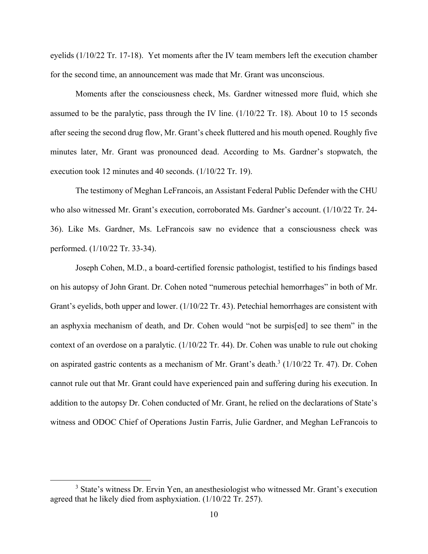eyelids (1/10/22 Tr. 17-18). Yet moments after the IV team members left the execution chamber for the second time, an announcement was made that Mr. Grant was unconscious.

 Moments after the consciousness check, Ms. Gardner witnessed more fluid, which she assumed to be the paralytic, pass through the IV line. (1/10/22 Tr. 18). About 10 to 15 seconds after seeing the second drug flow, Mr. Grant's cheek fluttered and his mouth opened. Roughly five minutes later, Mr. Grant was pronounced dead. According to Ms. Gardner's stopwatch, the execution took 12 minutes and 40 seconds. (1/10/22 Tr. 19).

 The testimony of Meghan LeFrancois, an Assistant Federal Public Defender with the CHU who also witnessed Mr. Grant's execution, corroborated Ms. Gardner's account. (1/10/22 Tr. 24- 36). Like Ms. Gardner, Ms. LeFrancois saw no evidence that a consciousness check was performed. (1/10/22 Tr. 33-34).

 Joseph Cohen, M.D., a board-certified forensic pathologist, testified to his findings based on his autopsy of John Grant. Dr. Cohen noted "numerous petechial hemorrhages" in both of Mr. Grant's eyelids, both upper and lower. (1/10/22 Tr. 43). Petechial hemorrhages are consistent with an asphyxia mechanism of death, and Dr. Cohen would "not be surpis[ed] to see them" in the context of an overdose on a paralytic. (1/10/22 Tr. 44). Dr. Cohen was unable to rule out choking on aspirated gastric contents as a mechanism of Mr. Grant's death.<sup>3</sup> (1/10/22 Tr. 47). Dr. Cohen cannot rule out that Mr. Grant could have experienced pain and suffering during his execution. In addition to the autopsy Dr. Cohen conducted of Mr. Grant, he relied on the declarations of State's witness and ODOC Chief of Operations Justin Farris, Julie Gardner, and Meghan LeFrancois to

 $\frac{1}{3}$ <sup>3</sup> State's witness Dr. Ervin Yen, an anesthesiologist who witnessed Mr. Grant's execution agreed that he likely died from asphyxiation. (1/10/22 Tr. 257).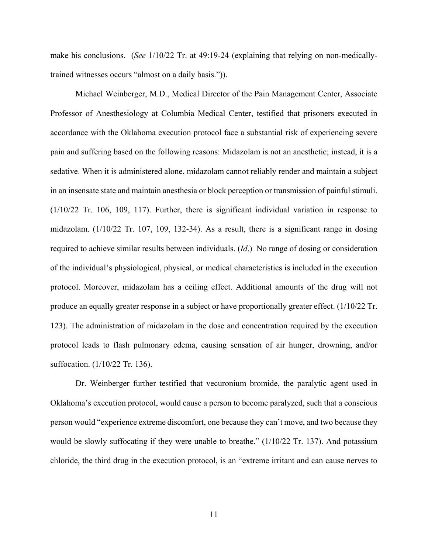make his conclusions. (*See* 1/10/22 Tr. at 49:19-24 (explaining that relying on non-medicallytrained witnesses occurs "almost on a daily basis.")).

Michael Weinberger, M.D., Medical Director of the Pain Management Center, Associate Professor of Anesthesiology at Columbia Medical Center, testified that prisoners executed in accordance with the Oklahoma execution protocol face a substantial risk of experiencing severe pain and suffering based on the following reasons: Midazolam is not an anesthetic; instead, it is a sedative. When it is administered alone, midazolam cannot reliably render and maintain a subject in an insensate state and maintain anesthesia or block perception or transmission of painful stimuli. (1/10/22 Tr. 106, 109, 117). Further, there is significant individual variation in response to midazolam. (1/10/22 Tr. 107, 109, 132-34). As a result, there is a significant range in dosing required to achieve similar results between individuals. (*Id*.) No range of dosing or consideration of the individual's physiological, physical, or medical characteristics is included in the execution protocol. Moreover, midazolam has a ceiling effect. Additional amounts of the drug will not produce an equally greater response in a subject or have proportionally greater effect. (1/10/22 Tr. 123). The administration of midazolam in the dose and concentration required by the execution protocol leads to flash pulmonary edema, causing sensation of air hunger, drowning, and/or suffocation. (1/10/22 Tr. 136).

Dr. Weinberger further testified that vecuronium bromide, the paralytic agent used in Oklahoma's execution protocol, would cause a person to become paralyzed, such that a conscious person would "experience extreme discomfort, one because they can't move, and two because they would be slowly suffocating if they were unable to breathe." (1/10/22 Tr. 137). And potassium chloride, the third drug in the execution protocol, is an "extreme irritant and can cause nerves to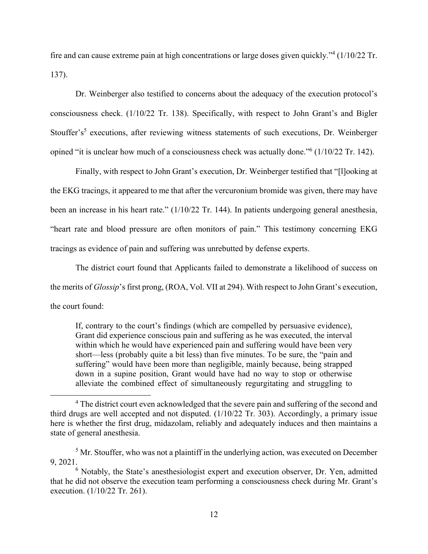fire and can cause extreme pain at high concentrations or large doses given quickly."<sup>4</sup> (1/10/22 Tr. 137).

Dr. Weinberger also testified to concerns about the adequacy of the execution protocol's consciousness check. (1/10/22 Tr. 138). Specifically, with respect to John Grant's and Bigler Stouffer's<sup>5</sup> executions, after reviewing witness statements of such executions, Dr. Weinberger opined "it is unclear how much of a consciousness check was actually done."<sup>6</sup> (1/10/22 Tr. 142).

Finally, with respect to John Grant's execution, Dr. Weinberger testified that "[l]ooking at the EKG tracings, it appeared to me that after the vercuronium bromide was given, there may have been an increase in his heart rate." (1/10/22 Tr. 144). In patients undergoing general anesthesia, "heart rate and blood pressure are often monitors of pain." This testimony concerning EKG tracings as evidence of pain and suffering was unrebutted by defense experts.

The district court found that Applicants failed to demonstrate a likelihood of success on the merits of *Glossip*'s first prong, (ROA, Vol. VII at 294). With respect to John Grant's execution, the court found:

If, contrary to the court's findings (which are compelled by persuasive evidence), Grant did experience conscious pain and suffering as he was executed, the interval within which he would have experienced pain and suffering would have been very short—less (probably quite a bit less) than five minutes. To be sure, the "pain and suffering" would have been more than negligible, mainly because, being strapped down in a supine position, Grant would have had no way to stop or otherwise alleviate the combined effect of simultaneously regurgitating and struggling to

 $\overline{4}$ <sup>4</sup> The district court even acknowledged that the severe pain and suffering of the second and third drugs are well accepted and not disputed. (1/10/22 Tr. 303). Accordingly, a primary issue here is whether the first drug, midazolam, reliably and adequately induces and then maintains a state of general anesthesia.

 $<sup>5</sup>$  Mr. Stouffer, who was not a plaintiff in the underlying action, was executed on December</sup> 9, 2021.

<sup>&</sup>lt;sup>6</sup> Notably, the State's anesthesiologist expert and execution observer, Dr. Yen, admitted that he did not observe the execution team performing a consciousness check during Mr. Grant's execution. (1/10/22 Tr. 261).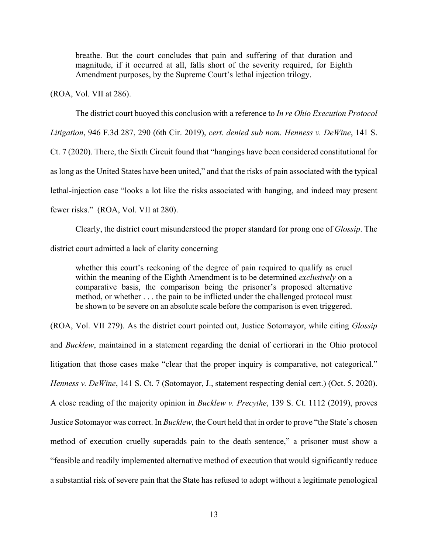breathe. But the court concludes that pain and suffering of that duration and magnitude, if it occurred at all, falls short of the severity required, for Eighth Amendment purposes, by the Supreme Court's lethal injection trilogy.

(ROA, Vol. VII at 286).

The district court buoyed this conclusion with a reference to *In re Ohio Execution Protocol* 

*Litigation*, 946 F.3d 287, 290 (6th Cir. 2019), *cert. denied sub nom. Henness v. DeWine*, 141 S.

Ct. 7 (2020). There, the Sixth Circuit found that "hangings have been considered constitutional for as long as the United States have been united," and that the risks of pain associated with the typical lethal-injection case "looks a lot like the risks associated with hanging, and indeed may present fewer risks." (ROA, Vol. VII at 280).

 Clearly, the district court misunderstood the proper standard for prong one of *Glossip*. The district court admitted a lack of clarity concerning

whether this court's reckoning of the degree of pain required to qualify as cruel within the meaning of the Eighth Amendment is to be determined *exclusively* on a comparative basis, the comparison being the prisoner's proposed alternative method, or whether . . . the pain to be inflicted under the challenged protocol must be shown to be severe on an absolute scale before the comparison is even triggered.

(ROA, Vol. VII 279). As the district court pointed out, Justice Sotomayor, while citing *Glossip* and *Bucklew*, maintained in a statement regarding the denial of certiorari in the Ohio protocol litigation that those cases make "clear that the proper inquiry is comparative, not categorical." *Henness v. DeWine*, 141 S. Ct. 7 (Sotomayor, J., statement respecting denial cert.) (Oct. 5, 2020). A close reading of the majority opinion in *Bucklew v. Precythe*, 139 S. Ct. 1112 (2019), proves Justice Sotomayor was correct. In *Bucklew*, the Court held that in order to prove "the State's chosen method of execution cruelly superadds pain to the death sentence," a prisoner must show a "feasible and readily implemented alternative method of execution that would significantly reduce a substantial risk of severe pain that the State has refused to adopt without a legitimate penological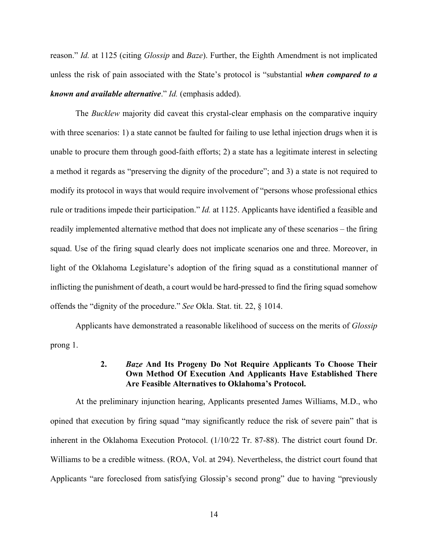reason." *Id.* at 1125 (citing *Glossip* and *Baze*). Further, the Eighth Amendment is not implicated unless the risk of pain associated with the State's protocol is "substantial *when compared to a known and available alternative*." *Id.* (emphasis added).

 The *Bucklew* majority did caveat this crystal-clear emphasis on the comparative inquiry with three scenarios: 1) a state cannot be faulted for failing to use lethal injection drugs when it is unable to procure them through good-faith efforts; 2) a state has a legitimate interest in selecting a method it regards as "preserving the dignity of the procedure"; and 3) a state is not required to modify its protocol in ways that would require involvement of "persons whose professional ethics rule or traditions impede their participation." *Id.* at 1125. Applicants have identified a feasible and readily implemented alternative method that does not implicate any of these scenarios – the firing squad. Use of the firing squad clearly does not implicate scenarios one and three. Moreover, in light of the Oklahoma Legislature's adoption of the firing squad as a constitutional manner of inflicting the punishment of death, a court would be hard-pressed to find the firing squad somehow offends the "dignity of the procedure." *See* Okla. Stat. tit. 22, § 1014.

 Applicants have demonstrated a reasonable likelihood of success on the merits of *Glossip* prong 1.

## **2.** *Baze* **And Its Progeny Do Not Require Applicants To Choose Their Own Method Of Execution And Applicants Have Established There Are Feasible Alternatives to Oklahoma's Protocol.**

At the preliminary injunction hearing, Applicants presented James Williams, M.D., who opined that execution by firing squad "may significantly reduce the risk of severe pain" that is inherent in the Oklahoma Execution Protocol. (1/10/22 Tr. 87-88). The district court found Dr. Williams to be a credible witness. (ROA, Vol. at 294). Nevertheless, the district court found that Applicants "are foreclosed from satisfying Glossip's second prong" due to having "previously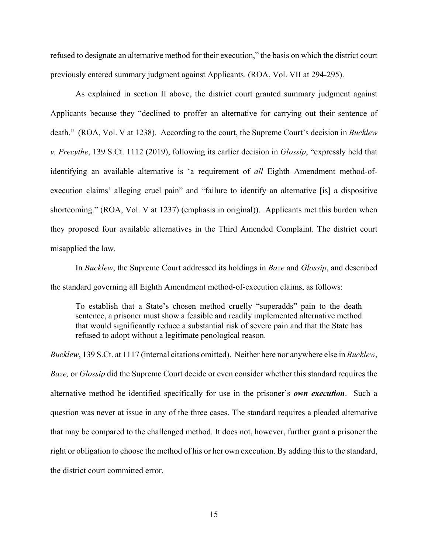refused to designate an alternative method for their execution," the basis on which the district court previously entered summary judgment against Applicants. (ROA, Vol. VII at 294-295).

As explained in section II above, the district court granted summary judgment against Applicants because they "declined to proffer an alternative for carrying out their sentence of death." (ROA, Vol. V at 1238). According to the court, the Supreme Court's decision in *Bucklew v. Precythe*, 139 S.Ct. 1112 (2019), following its earlier decision in *Glossip*, "expressly held that identifying an available alternative is 'a requirement of *all* Eighth Amendment method-ofexecution claims' alleging cruel pain" and "failure to identify an alternative [is] a dispositive shortcoming." (ROA, Vol. V at 1237) (emphasis in original)). Applicants met this burden when they proposed four available alternatives in the Third Amended Complaint. The district court misapplied the law.

In *Bucklew*, the Supreme Court addressed its holdings in *Baze* and *Glossip*, and described the standard governing all Eighth Amendment method-of-execution claims, as follows:

To establish that a State's chosen method cruelly "superadds" pain to the death sentence, a prisoner must show a feasible and readily implemented alternative method that would significantly reduce a substantial risk of severe pain and that the State has refused to adopt without a legitimate penological reason.

*Bucklew*, 139 S.Ct. at 1117 (internal citations omitted). Neither here nor anywhere else in *Bucklew*, *Baze,* or *Glossip* did the Supreme Court decide or even consider whether this standard requires the alternative method be identified specifically for use in the prisoner's *own execution*. Such a question was never at issue in any of the three cases. The standard requires a pleaded alternative that may be compared to the challenged method. It does not, however, further grant a prisoner the right or obligation to choose the method of his or her own execution. By adding this to the standard, the district court committed error.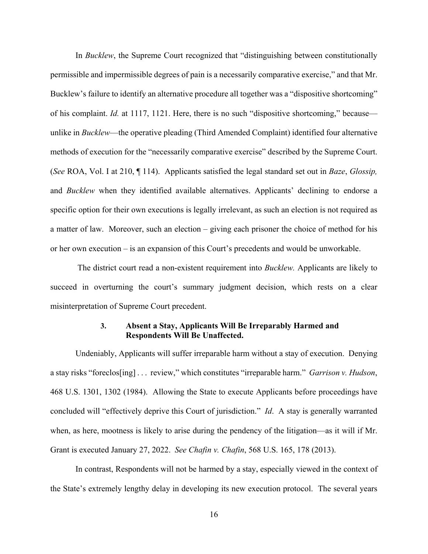In *Bucklew*, the Supreme Court recognized that "distinguishing between constitutionally permissible and impermissible degrees of pain is a necessarily comparative exercise," and that Mr. Bucklew's failure to identify an alternative procedure all together was a "dispositive shortcoming" of his complaint. *Id.* at 1117, 1121. Here, there is no such "dispositive shortcoming," because unlike in *Bucklew*—the operative pleading (Third Amended Complaint) identified four alternative methods of execution for the "necessarily comparative exercise" described by the Supreme Court. (*See* ROA, Vol. I at 210, ¶ 114). Applicants satisfied the legal standard set out in *Baze*, *Glossip,*  and *Bucklew* when they identified available alternatives. Applicants' declining to endorse a specific option for their own executions is legally irrelevant, as such an election is not required as a matter of law. Moreover, such an election – giving each prisoner the choice of method for his or her own execution – is an expansion of this Court's precedents and would be unworkable.

 The district court read a non-existent requirement into *Bucklew.* Applicants are likely to succeed in overturning the court's summary judgment decision, which rests on a clear misinterpretation of Supreme Court precedent.

## **3. Absent a Stay, Applicants Will Be Irreparably Harmed and Respondents Will Be Unaffected.**

Undeniably, Applicants will suffer irreparable harm without a stay of execution. Denying a stay risks "foreclos[ing] . . . review," which constitutes "irreparable harm." *Garrison v. Hudson*, 468 U.S. 1301, 1302 (1984). Allowing the State to execute Applicants before proceedings have concluded will "effectively deprive this Court of jurisdiction." *Id*. A stay is generally warranted when, as here, mootness is likely to arise during the pendency of the litigation—as it will if Mr. Grant is executed January 27, 2022. *See Chafin v. Chafin*, 568 U.S. 165, 178 (2013).

In contrast, Respondents will not be harmed by a stay, especially viewed in the context of the State's extremely lengthy delay in developing its new execution protocol. The several years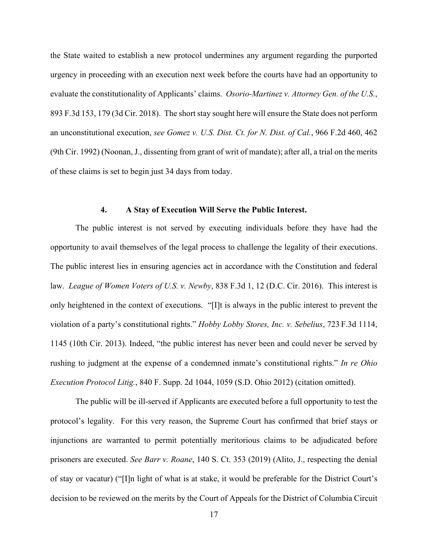the State waited to establish a new protocol undermines any argument regarding the purported urgency in proceeding with an execution next week before the courts have had an opportunity to evaluate the constitutionality of Applicants' claims. *Osorio-Martinez v. Attorney Gen. of the U.S.*, 893 F.3d 153, 179 (3d Cir. 2018). The short stay sought here will ensure the State does not perform an unconstitutional execution, *see Gomez v. U.S. Dist. Ct. for N. Dist. of Cal.*, 966 F.2d 460, 462 (9th Cir. 1992) (Noonan, J., dissenting from grant of writ of mandate); after all, a trial on the merits of these claims is set to begin just 34 days from today.

#### **4. A Stay of Execution Will Serve the Public Interest.**

The public interest is not served by executing individuals before they have had the opportunity to avail themselves of the legal process to challenge the legality of their executions. The public interest lies in ensuring agencies act in accordance with the Constitution and federal law. *League of Women Voters of U.S. v. Newby*, 838 F.3d 1, 12 (D.C. Cir. 2016). This interest is only heightened in the context of executions. "[I]t is always in the public interest to prevent the violation of a party's constitutional rights." *Hobby Lobby Stores, Inc. v. Sebelius*, 723 F.3d 1114, 1145 (10th Cir. 2013). Indeed, "the public interest has never been and could never be served by rushing to judgment at the expense of a condemned inmate's constitutional rights." *In re Ohio Execution Protocol Litig.*, 840 F. Supp. 2d 1044, 1059 (S.D. Ohio 2012) (citation omitted).

The public will be ill-served if Applicants are executed before a full opportunity to test the protocol's legality. For this very reason, the Supreme Court has confirmed that brief stays or injunctions are warranted to permit potentially meritorious claims to be adjudicated before prisoners are executed. *See Barr v. Roane*, 140 S. Ct. 353 (2019) (Alito, J., respecting the denial of stay or vacatur) ("[I]n light of what is at stake, it would be preferable for the District Court's decision to be reviewed on the merits by the Court of Appeals for the District of Columbia Circuit